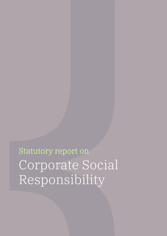Statutory report on Corporate Social Responsibility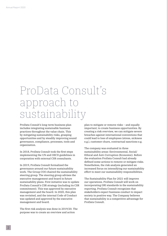# ProData Consult's approach to sustainability

ProData Consult's long-term business plan includes integrating sustainable business practices throughout the value chain. This by mitigating sustainability risks, grasping opportunities and by steadily improving sound governance, compliance, processes, tools and organization.

In 2018, ProData Consult took the first steps implementing the UN and OECD guidelines in corporation with external CSR consultants.

In 2019, ProData Consult formalized the governance around our future sustainability work. The Group COO chaired the sustainability steering group. The steering group advises the executive management and board in future sustainability plans. First initiative was to update ProData Consult's CSR strategy (including its CSR commitment). This was approved by executive management and the board. In 2020, this plan was revisited, and the internal Code of Conduct was updated and approved by the executive management and board.

The first risk analysis was done in 2019/20. The purpose was to create an overview and action

plan to mitigate or remove risks – and equally important; to create business opportunities. By creating a risk overview, we can mitigate severe breaches against international conventions that could lead to loss of employees (stress, sickness e.g.), customer churn, contractual sanctions e.g.

The company was evaluated in three sustainability areas: Environmental, Social/ Ethical and Anti-Corruption (Economic). Before the evaluation ProData Consult had already defined some actions to remove or mitigate risks. Nonetheless, the risk analysis generated an increased focus on intensifying our sustainability effort to meet our sustainability responsibilities.

The Sustainability Plan for 2021 will improve our operations. ProData Consult will work on incorporating GRI standards in the sustainability reporting. ProData Consult recognizes that stakeholders expect business conduct to impact society in positive way. The Company believes that sustainability is a competitive advantage for ProData Consult.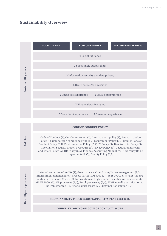### **Sustainability Overview**

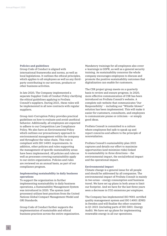**Policies and guidelines** Group Code of Conduct is aligned with international frameworks and norms, as well as local legislations. It outlines the ethical principles, which applies to all employees as well as any thirdparty contributing to our services, products or other business activities.

In late 2020, The Company implemented a separate Supplier Code of Conduct Policy clarifying the ethical guidelines applying to ProData Consult's suppliers. During 2021, these rules will be implemented in all new contracts with regular suppliers.

Group Anti-Corruption Policy provides practical guidelines on how to evaluate and avoid unethical behavior. Additionally, all employees are expected to adhere to our Competition Law Compliance Policy. We also have an Environmental Policy which outlines our precautionary approach to environmental management within the company and throughout the value chain. This rule is compliant with ISO 14001 requirements. In addition, other policies and rules supporting the management of specific sustainability areas have been implemented. All policies and rules as well as processes covering sustainability apply to our entire organization. Policies and rules are reviewed on an annual basis, as part of our compliance program.

#### **Implementing sustainability in daily business operations**

To support the organization in further implementing sustainability in daily business operations, a Sustainability Management System was introduced in 2020. The system (and processes) utilizes best practices from the United Nations Global Compact Management Model and GRI Standards.

Group Code of Conduct further supports the implementation of sustainable and ethical business practices across the entire organization. Mandatory trainings for all employees also cover e-learnings in GDPR, as well as a general security training. As sustainability concerns the whole company encourages employees to discuss and promote the positive sustainability outcomes that digitalization can enable for customers.

The CSR project group meets on a quarterly basis to review and ensure progress. In 2020, more effective communication of CSR has been introduced on ProData Consult's website. A complete sub-website that communicates 'Our Responsibility' – including our "Whistle-blower" solution has been implemented. This will make it easier for customers, consultants, and employees to communicate praise or criticism – or simply good ideas.

ProData Consult is committed to a culture where employees feel safe to speak up and report concerns and adhere to the principle of nonretaliation.

ProData Consult's sustainability plan 2021 captures and details our effort to maximize opportunities (and minimize risks) linked to sustainability in three directions – the environmental impact, the social/ethical impact and the operational impact.

#### **Environmental impact**

Climate change is a general issue for all people and should be addressed by all companies. The environmental impact of ProData Consult is mainly in two areas – energy consumption and business travel. We have set up plans in both areas to limit our footprint. And we have for the last three years seen a decrease in CO2 emissions per employee.

The Company has implemented ISO 9001 certified quality management system and ISO 14001 (EMS) in Sweden and will finalize the other countries in Q1 2021 (including parts of ISO 5001: Energy Audit). We have set up plans for implementing renewable energy in all our operations.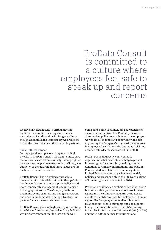# ProData Consult is committed to a culture where employees feel safe to speak up and report concerns

We have invested heavily in virtual meeting facilities – and online meetings have been a natural way of working thus limiting traveling – though when traveling is necessary we always try to find the most reliable and sustainable partners.

#### **Social/ethical impact**

Setting a good example as a company is a high priority in ProData Consult. We want to make sure that our values are taken seriously – doing right on how we treat people no matter colour, religion, age, ethnicity, or gender. And that these values are the enablers of business success.

ProData Consult has a detailed approach to business ethics. It is all described in Group Code of Conduct and Group Anti-Corruption Policy – and more importantly management is taking a pride in living by the words. The Company believes that living by the example and being transparent and open is fundamental to being a trustworthy partner for customers and consultants.

ProData Consult places a high priority on creating a healthy and attractive physical and psychological working environment that focuses on the wellbeing of its employees, including our policies on sickness absenteeism. The Company sickness absenteeism policy covers follow-up on employee workplace attendance and behaviour while also expressing the Company's compassionate interest in employees' well-being. The Company's sickness absence rates decreased from 2019 to 2020.

ProData Consult directly contributes to organisations that advocate and help to protect human rights, for example by making annual donations to Amnesty International and UNICEF. Risks related to violations of human rights are limited due to the Company's business model, policies and presence only in the EU. No violations of human rights were detected in 2020.

ProData Consult has an explicit policy of not doing business with any customers who abuse human rights, and the Company regularly evaluates its clients to identify any possible violations of human rights. The Company expects all our business relationships (clients, suppliers and consultants) to align their operations with the UN's Guiding Principles for Business and Human Rights (UNGPs) and the OECD Guidelines for Multinational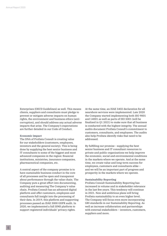Enterprises (OECD Guidelines) as well. This means clients, suppliers and consultants must pledge to prevent or mitigate adverse impacts on human rights, the environment and business ethics (anticorruption), and should address any actual adverse impacts that arise. The Company's expectations are further detailed in our Code of Conduct.

#### **Economic impact**

The DNA of ProData Consult is creating value for our stakeholders (customers, employees, investors and the general society). This is being done by supplying the best senior business and IT consultants to some of the biggest and most advanced companies in the region: financial institutions, ministries, insurance companies, pharmaceutical companies, etc.

A central aspect of the company promise is to have sustainable business conduct in the core of all processes and be open and transparent about performance through the value chain. The Company puts a great effort into documenting, auditing and measuring The Company's value chain. ProData Consult has an advanced digital platform and offer customers, employees and consultants full insight into the processing of their data. In 2019, this platform and supporting processes passed an ISAE 3000 GDPR audit. In 2020, we implemented a full ISMS platform to support registered individuals' privacy rights.

At the same time, an ISAE 3402 declaration for all nearshore services were implemented. Late 2020 the Company started implementing both ISO 9001 and 14001 as well as parts of ISO 5001 (will be finalized in Q1 2021) to make sure that all business is conducted with the highest integrity. The annual audits document ProData Consult's commitment to customers, consultants, and employees. The audits also help ProData identify risks that need to be addressed.

By fulfilling our promise - supplying the best senior business and IT consultant resources to private and public organizations we help improve the economic, social and environmental conditions in the markets where we operate. And at the same time, we create value and long-term success for employees, customers and consultants alike – and we will be an important part of progress and prosperity in the markets where we operate.

#### **Sustainability Reporting**

ProData Consult Sustainability Reporting has increased in volume and in stakeholder relevance in the last few years. This tendency will continue in 2021. New and ambitious plans will bring ProData sustainability to an even higher level. The Company will focus even more incorporating GRI standards in our Sustainability Reporting. As well as increase collaboration and partnerships with external stakeholders – investors, customers, suppliers and more.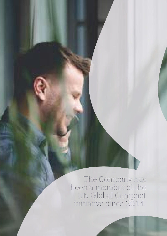The Company has been a member of the UN Global Compact initiative since 2014.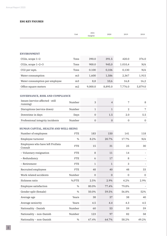#### **ESG KEY FIGURES**

|                                                             | Unit           | 2021<br>(targets) | 2020             | 2019             | 2018         |
|-------------------------------------------------------------|----------------|-------------------|------------------|------------------|--------------|
|                                                             |                |                   |                  |                  |              |
| <b>ENVIRONMENT</b>                                          |                |                   |                  |                  |              |
|                                                             | Tons           | 390.0             | 391.5            | 420.0            | 376.0        |
| CO2e, scope $1+2$                                           |                |                   |                  |                  |              |
| CO2e, scope 1+2+3                                           | Tons           | 900.0             | 945,0            | 1.010,4          | N/A          |
| CO2 per sqm.                                                | Tons           | 0.100             | 0,106            | 0,130            | N/A          |
| Water consumption                                           | m <sub>3</sub> | 1,600             | 1,586            | 2,367            | 1,915        |
| Water consumption per employee                              | m <sub>3</sub> | 8,8               | 10,6             | 16,8             | 16,2         |
| Office square meters                                        | m2             | 9,000.0           | 8,895.0          | 7,776.0          | 5,879.0      |
| <b>GOVERNANCE, RISK AND COMPLIANCE</b>                      |                |                   |                  |                  |              |
| Issues (service affected - still<br>running)                | Number         | 3                 | $\overline{4}$   | 7                | 8            |
| Disruptions (service down)                                  | Number         | $\mathbf{1}$      | $\mathbf{1}$     | $\overline{2}$   | 7            |
| Downtime in days                                            | Days           | $\overline{0}$    | 1.5              | 2.0              | 5.5          |
| Professional integrity incidents                            | Number         | $\mathbf{0}$      | $\mathbf{0}$     | $\overline{0}$   | $\mathbf 0$  |
|                                                             |                |                   |                  |                  |              |
| HUMAN CAPITAL, HEALTH AND WELL-BEING<br>Number of employees | <b>FTE</b>     | 183               | 150              | 141              | 118          |
|                                                             | $\%$           | 8.2%              |                  |                  |              |
| Employee turnover<br>Employees who have left ProData        |                |                   | 20.7%            | 17.7%            | N/A          |
| Consult                                                     | <b>FTE</b>     | 15                | 31               | 25               | 30           |
| - Voluntary resignation                                     | <b>FTE</b>     | 8                 | 11               | 14               |              |
| - Redundancy                                                | <b>FTE</b>     | 6                 | 17               | 8                |              |
| - Retirement                                                | <b>FTE</b>     | $\mathbf{1}$      | $\mathbf{1}$     | 3                |              |
| Recruited employees                                         | <b>FTE</b>     | 48                | 40               | 48               | 33           |
| Work related accidents                                      | Number         | $\boldsymbol{0}$  | $\boldsymbol{0}$ | $\boldsymbol{0}$ | $\mathbf{0}$ |
| Sickness ratio                                              | %/FTE          | 2.5%              | 2.9%             | 4.2%             | 2.9%         |
| Employee satisfaction                                       | $\%$           | 80.0%             | 77.4%            | 79.8%            |              |
| Gender split (female)                                       | $\%$           | 50.0%             | 59.5%            | 56.8%            | 52%          |
| Average age                                                 | Years          | 38                | 37               | 38               | 40           |
| Average seniority                                           | Years          | 4.5               | 4.4              | 4.3              | 4.5          |
| Nationality - Danish                                        | Number         | 60                | 53               | 59               | 59           |
| Nationality - non-Danish                                    | Number         | 123               | 97               | 82               | 58           |
| Nationality - non-Danish                                    | $\%$           | 67.4%             | 64.7%            | 58.2%            | 49.2%        |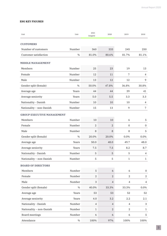#### **ESG KEY FIGURES**

| Unit                              | Unit   | 2021<br>(targets) | 2020           | 2019             | 2018             |
|-----------------------------------|--------|-------------------|----------------|------------------|------------------|
| <b>CUSTOMERS</b>                  |        |                   |                |                  |                  |
| Number of customers               | Number | 360               | 333            | 245              | 250              |
| Customer satisfaction             | %      | 81.0%             | 80.6%          | 81.7%            | 81.1%            |
| <b>MIDDLE MANAGEMENT</b>          |        |                   |                |                  |                  |
| Members                           | Number | 25                | 23             | 19               | 13               |
| Female                            | Number | 12                | 11             | 7                | $\overline{4}$   |
| Male                              | Number | 13                | 12             | 12               | 9                |
| Gender split (female)             | %      | 50.0%             | 47.8%          | 36.8%            | 30.8%            |
| Average age                       | Years  | 44                | 44             | 39               | 41               |
| Average seniority                 | Years  | 5.0               | 5.5            | 3.3              | 3.3              |
| Nationality - Danish              | Number | 10                | 10             | 10               | 4                |
| Nationality - non-Danish          | Number | 15                | 13             | 9                | $\overline{7}$   |
| <b>GROUP EXECUTIVE MANAGEMENT</b> |        |                   |                |                  |                  |
| Members                           | Number | 10                | 10             | 6                | 5                |
| Female                            | Number | $\overline{2}$    | $\overline{2}$ | $\overline{0}$   | $\overline{0}$   |
| Male                              | Number | 8                 | 8              | 8                | 5                |
| Gender split (female)             | %      | 20.0%             | 20.0%          | 0.0%             | 0.0%             |
| Average age                       | Years  | 50.0              | 48.0           | 49.7             | 48.0             |
| Average seniority                 | Years  | 7.5               | 7.5            | 8.2              | 8.7              |
| Nationality - Danish              | Number | 5                 | 5              | 5                | 4                |
| Nationality - non-Danish          | Number | 5                 | 5              | $\mathbf{1}$     | $\mathbf{1}$     |
|                                   |        |                   |                |                  |                  |
| <b>BOARD OF DIRECTORS</b>         |        |                   |                |                  |                  |
| Members                           | Number | 5                 | 6              | 6                | $\boldsymbol{0}$ |
| Female                            | Number | $\overline{2}$    | $\overline{2}$ | $\overline{2}$   | 2                |
| Male                              | Number | $\,3$             | $\overline{4}$ | $\overline{4}$   | 4                |
| Gender split (female)             | $\%$   | 40.0%             | 33.3%          | 33.3%            | 0.0%             |
| Average age                       | Years  | 53                | 53             | 52               | 52               |
| Average seniority                 | Years  | 4.0               | 3.2            | 2.2              | 2.1              |
| Nationality - Danish              | Number | $\overline{4}$    | $\overline{4}$ | $\overline{4}$   | 3                |
| Nationality - non-Danish          | Number | $\mathbf{1}$      | $\overline{c}$ | $\boldsymbol{2}$ | $\mathbf{1}$     |
| Board meetings                    | Number | 6                 | 6              | 6                | 5                |
| Attendance                        | $\%$   | 100%              | 97%            | 100%             | 100%             |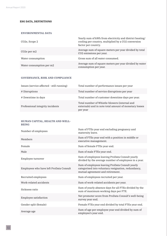#### **ESG DATA, DEFINITIONS**

#### **ENVIRONMENTAL DATA**

| CO2e, Scope 2                        | Yearly sum of kWh from electricity and district heating/<br>cooling per country, multiplied by a CO2 conversion<br>factor per country. |
|--------------------------------------|----------------------------------------------------------------------------------------------------------------------------------------|
| CO <sub>2</sub> e per m <sub>2</sub> | Average sum of square meters per year divided by total<br>CO2 emissions per year.                                                      |
| Water consumption                    | Gross sum of all water consumed.                                                                                                       |
| Water consumption per m2             | Average sum of square meters per year divided by water<br>consumption per year.                                                        |

#### **GOVERNANCE, RISK AND COMPLIANCE**

| Issues (service affected - still running) | Total number of performance issues per year                                                                         |
|-------------------------------------------|---------------------------------------------------------------------------------------------------------------------|
| # Disruptions                             | Total number of service disruptions per year                                                                        |
| # Downtime in days                        | Total number of customer downtime days per year.                                                                    |
| Professional integrity incidents          | Total number of Whistle-blowers (internal and<br>externals) and in note total amount of monetary losses<br>per year |

#### **HUMAN CAPITAL, HEALTH AND WELL-BEING**

| Number of employees                     | Sum of FTEs year end excluding pregnancy and<br>maternity leave.                                                                           |
|-----------------------------------------|--------------------------------------------------------------------------------------------------------------------------------------------|
| Members                                 | Sum of FTEs year end with a position in middle or<br>executive management.                                                                 |
| Female                                  | Sum of female FTEs year end.                                                                                                               |
| Male                                    | Sum of male FTEs year end.                                                                                                                 |
| Employee turnover                       | Sum of employees leaving ProData Consult yearly<br>divided by the average number of employees in a year.                                   |
| Employees who have left ProData Consult | Sum of employees leaving ProData Consult yearly<br>categorised into voluntary resignation, redundancy,<br>mutual agreement and retirement. |
| Recruited employees                     | Sum of employees recruited per year.                                                                                                       |
| Work-related accidents                  | Sum of work-related accidents per year.                                                                                                    |
| Sickness ratio                          | Sum of yearly absence days for all FTEs divided by the<br>sum of maximum working days per FTE.                                             |
| Employee satisfaction                   | Net promoter score from ProData Consult's well-being<br>survey year end.                                                                   |
| Gender split (female)                   | Female FTEs year end divided by total FTEs year end.                                                                                       |
| Average age                             | Sum of age per employee year end divided by sum of<br>employee's year end.                                                                 |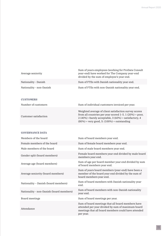| Average seniority        | Sum of years employees (working for ProData Consult<br>year-end) have worked for The Company year-end<br>divided by the sum of employee's year end. |
|--------------------------|-----------------------------------------------------------------------------------------------------------------------------------------------------|
| Nationality - Danish     | Sum of FTEs with Danish nationality year end.                                                                                                       |
| Nationality - non-Danish | Sum of FTEs with non-Danish nationality year end.                                                                                                   |

#### **CUSTOMERS**

| Number of customers   | Sum of individual customers invoiced per year.                                                                                                                                                                                      |
|-----------------------|-------------------------------------------------------------------------------------------------------------------------------------------------------------------------------------------------------------------------------------|
| Customer satisfaction | Weighted average of client satisfaction survey scores<br>from all countries per year scored $1-5$ . $1(20%) =$ poor,<br>2 (40%) = barely acceptable, $3(60%)$ = satisfactory, 4<br>$(80\%)$ = very good, 5: $(100\%)$ = outstanding |

#### **GOVERNANCE DATA**

| Members of the board                     | Sum of board members year end.                                                                                                                                             |
|------------------------------------------|----------------------------------------------------------------------------------------------------------------------------------------------------------------------------|
| Female members of the board              | Sum of female board members year end.                                                                                                                                      |
| Male members of the board                | Sum of male board members year end.                                                                                                                                        |
| Gender split (board members)             | Female board members year end divided by male board<br>members year end.                                                                                                   |
| Average age (board members)              | Sum of age per board member year end divided by sum<br>of board members year end.                                                                                          |
| Average seniority (board members)        | Sum of years board members (year-end) have been a<br>member of the board year end divided by the sum of<br>board members year end.                                         |
| Nationality – Danish (board members)     | Sum of board members with Danish nationality year<br>end.                                                                                                                  |
| Nationality - non-Danish (board members) | Sum of board members with non-Danish nationality<br>year end.                                                                                                              |
| Board meetings                           | Sum of board meetings per year.                                                                                                                                            |
| Attendance                               | Sum of board meetings that all board members have<br>attended per year divided by sum of maximum board<br>meetings that all board members could have attended<br>per year. |